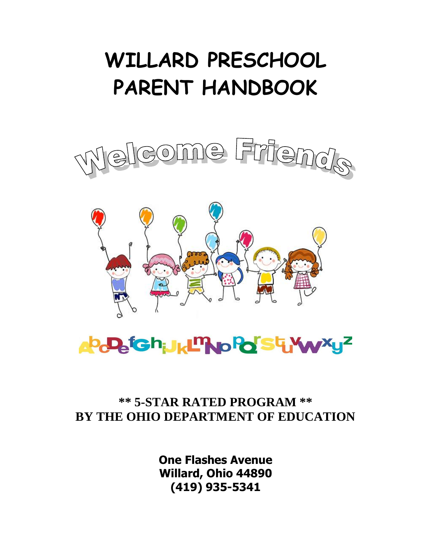# **WILLARD PRESCHOOL PARENT HANDBOOK**







# **\*\* 5-STAR RATED PROGRAM \*\* BY THE OHIO DEPARTMENT OF EDUCATION**

**One Flashes Avenue Willard, Ohio 44890 (419) 935-5341**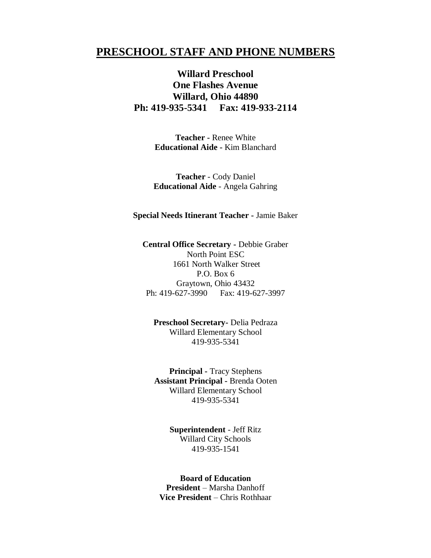# **PRESCHOOL STAFF AND PHONE NUMBERS**

# **Willard Preschool One Flashes Avenue Willard, Ohio 44890 Ph: 419-935-5341 Fax: 419-933-2114**

**Teacher -** Renee White **Educational Aide -** Kim Blanchard

**Teacher** - Cody Daniel **Educational Aide** - Angela Gahring

#### **Special Needs Itinerant Teacher -** Jamie Baker

**Central Office Secretary -** Debbie Graber North Point ESC 1661 North Walker Street P.O. Box 6 Graytown, Ohio 43432 Ph: 419-627-3990 Fax: 419-627-3997

**Preschool Secretary-** Delia Pedraza Willard Elementary School 419-935-5341

**Principal -** Tracy Stephens **Assistant Principal -** Brenda Ooten Willard Elementary School 419-935-5341

> **Superintendent** - Jeff Ritz Willard City Schools 419-935-1541

**Board of Education President** – Marsha Danhoff **Vice President** – Chris Rothhaar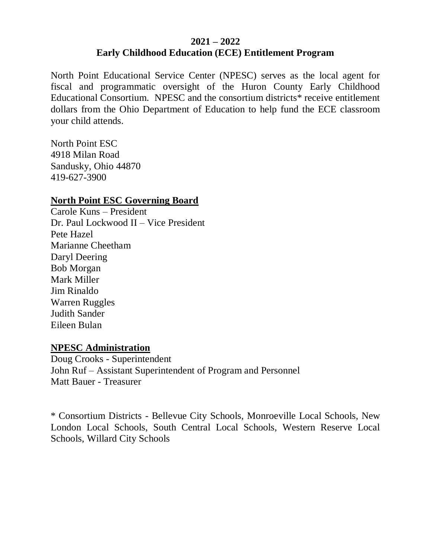# **2021 – 2022 Early Childhood Education (ECE) Entitlement Program**

North Point Educational Service Center (NPESC) serves as the local agent for fiscal and programmatic oversight of the Huron County Early Childhood Educational Consortium. NPESC and the consortium districts\* receive entitlement dollars from the Ohio Department of Education to help fund the ECE classroom your child attends.

North Point ESC 4918 Milan Road Sandusky, Ohio 44870 419-627-3900

# **North Point ESC Governing Board**

Carole Kuns – President Dr. Paul Lockwood II – Vice President Pete Hazel Marianne Cheetham Daryl Deering Bob Morgan Mark Miller Jim Rinaldo Warren Ruggles Judith Sander Eileen Bulan

# **NPESC Administration**

Doug Crooks - Superintendent John Ruf – Assistant Superintendent of Program and Personnel Matt Bauer - Treasurer

\* Consortium Districts - Bellevue City Schools, Monroeville Local Schools, New London Local Schools, South Central Local Schools, Western Reserve Local Schools, Willard City Schools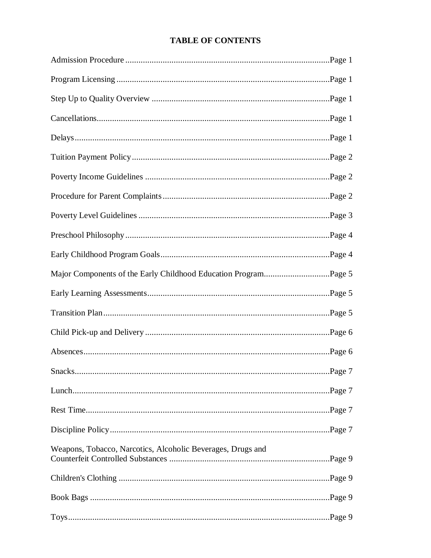# **TABLE OF CONTENTS**

| Weapons, Tobacco, Narcotics, Alcoholic Beverages, Drugs and |  |
|-------------------------------------------------------------|--|
|                                                             |  |
|                                                             |  |
|                                                             |  |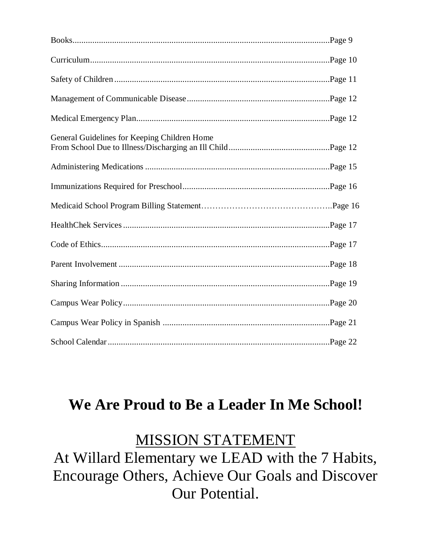| General Guidelines for Keeping Children Home |  |
|----------------------------------------------|--|
|                                              |  |
|                                              |  |
|                                              |  |
|                                              |  |
|                                              |  |
|                                              |  |
|                                              |  |
|                                              |  |
|                                              |  |
|                                              |  |

# **We Are Proud to Be a Leader In Me School!**

# MISSION STATEMENT

At Willard Elementary we LEAD with the 7 Habits, Encourage Others, Achieve Our Goals and Discover Our Potential.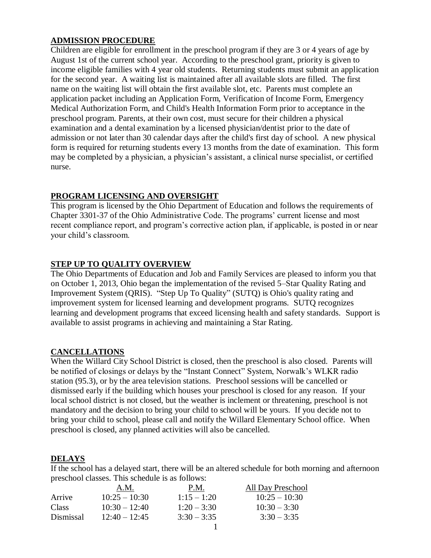## **ADMISSION PROCEDURE**

Children are eligible for enrollment in the preschool program if they are 3 or 4 years of age by August 1st of the current school year. According to the preschool grant, priority is given to income eligible families with 4 year old students. Returning students must submit an application for the second year. A waiting list is maintained after all available slots are filled. The first name on the waiting list will obtain the first available slot, etc. Parents must complete an application packet including an Application Form, Verification of Income Form, Emergency Medical Authorization Form, and Child's Health Information Form prior to acceptance in the preschool program. Parents, at their own cost, must secure for their children a physical examination and a dental examination by a licensed physician/dentist prior to the date of admission or not later than 30 calendar days after the child's first day of school. A new physical form is required for returning students every 13 months from the date of examination. This form may be completed by a physician, a physician's assistant, a clinical nurse specialist, or certified nurse.

#### **PROGRAM LICENSING AND OVERSIGHT**

This program is licensed by the Ohio Department of Education and follows the requirements of Chapter 3301-37 of the Ohio Administrative Code. The programs' current license and most recent compliance report, and program's corrective action plan, if applicable, is posted in or near your child's classroom.

## **STEP UP TO QUALITY OVERVIEW**

The Ohio Departments of Education and Job and Family Services are pleased to inform you that on October 1, 2013, Ohio began the implementation of the revised 5–Star Quality Rating and Improvement System (QRIS). "Step Up To Quality" (SUTQ) is Ohio's quality rating and improvement system for licensed learning and development programs. SUTQ recognizes learning and development programs that exceed licensing health and safety standards. Support is available to assist programs in achieving and maintaining a Star Rating.

#### **CANCELLATIONS**

When the Willard City School District is closed, then the preschool is also closed. Parents will be notified of closings or delays by the "Instant Connect" System, Norwalk's WLKR radio station (95.3), or by the area television stations. Preschool sessions will be cancelled or dismissed early if the building which houses your preschool is closed for any reason. If your local school district is not closed, but the weather is inclement or threatening, preschool is not mandatory and the decision to bring your child to school will be yours. If you decide not to bring your child to school, please call and notify the Willard Elementary School office. When preschool is closed, any planned activities will also be cancelled.

#### **DELAYS**

If the school has a delayed start, there will be an altered schedule for both morning and afternoon preschool classes. This schedule is as follows:

|              | A.M.            | P.M.          | All Day Preschool |
|--------------|-----------------|---------------|-------------------|
| Arrive       | $10:25 - 10:30$ | $1:15 - 1:20$ | $10:25 - 10:30$   |
| <b>Class</b> | $10:30 - 12:40$ | $1:20 - 3:30$ | $10:30 - 3:30$    |
| Dismissal    | $12:40 - 12:45$ | $3:30 - 3:35$ | $3:30 - 3:35$     |
|              |                 |               |                   |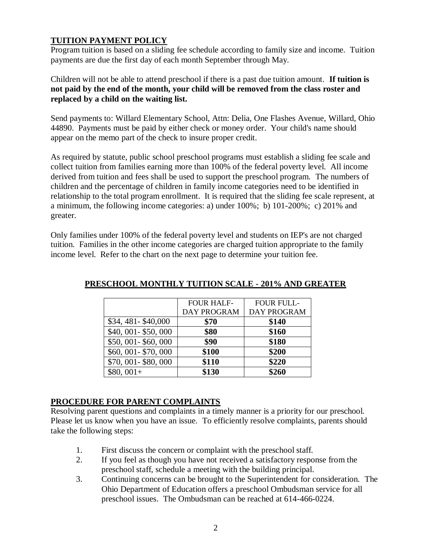# **TUITION PAYMENT POLICY**

Program tuition is based on a sliding fee schedule according to family size and income. Tuition payments are due the first day of each month September through May.

Children will not be able to attend preschool if there is a past due tuition amount. **If tuition is not paid by the end of the month, your child will be removed from the class roster and replaced by a child on the waiting list.** 

Send payments to: Willard Elementary School, Attn: Delia, One Flashes Avenue, Willard, Ohio 44890. Payments must be paid by either check or money order. Your child's name should appear on the memo part of the check to insure proper credit.

As required by statute, public school preschool programs must establish a sliding fee scale and collect tuition from families earning more than 100% of the federal poverty level. All income derived from tuition and fees shall be used to support the preschool program. The numbers of children and the percentage of children in family income categories need to be identified in relationship to the total program enrollment. It is required that the sliding fee scale represent, at a minimum, the following income categories: a) under 100%; b) 101-200%; c) 201% and greater.

Only families under 100% of the federal poverty level and students on IEP's are not charged tuition. Families in the other income categories are charged tuition appropriate to the family income level. Refer to the chart on the next page to determine your tuition fee.

|                     | <b>FOUR HALF-</b>  | <b>FOUR FULL-</b> |
|---------------------|--------------------|-------------------|
|                     | <b>DAY PROGRAM</b> | DAY PROGRAM       |
| \$34, 481-\$40,000  | \$70               | \$140             |
| \$40, 001-\$50, 000 | \$80               | \$160             |
| \$50,001 - \$60,000 | \$90               | \$180             |
| \$60, 001-\$70, 000 | \$100              | \$200             |
| \$70,001 - \$80,000 | \$110              | \$220             |
| $$80,001+$          | \$130              | \$260             |

#### **PRESCHOOL MONTHLY TUITION SCALE - 201% AND GREATER**

#### **PROCEDURE FOR PARENT COMPLAINTS**

Resolving parent questions and complaints in a timely manner is a priority for our preschool. Please let us know when you have an issue. To efficiently resolve complaints, parents should take the following steps:

- 1. First discuss the concern or complaint with the preschool staff.
- 2. If you feel as though you have not received a satisfactory response from the preschool staff, schedule a meeting with the building principal.
- 3. Continuing concerns can be brought to the Superintendent for consideration. The Ohio Department of Education offers a preschool Ombudsman service for all preschool issues. The Ombudsman can be reached at 614-466-0224.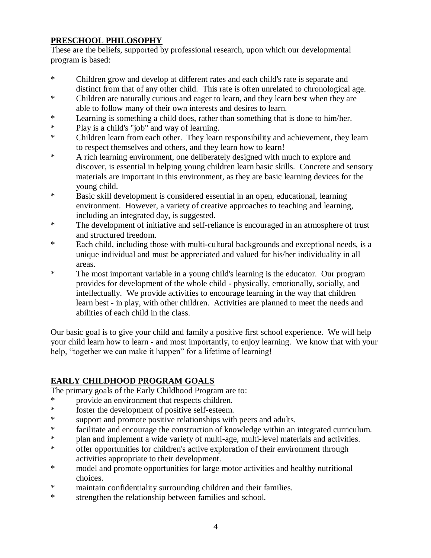# **PRESCHOOL PHILOSOPHY**

These are the beliefs, supported by professional research, upon which our developmental program is based:

- \* Children grow and develop at different rates and each child's rate is separate and distinct from that of any other child. This rate is often unrelated to chronological age.
- \* Children are naturally curious and eager to learn, and they learn best when they are able to follow many of their own interests and desires to learn.
- \* Learning is something a child does, rather than something that is done to him/her.
- \* Play is a child's "job" and way of learning.
- \* Children learn from each other. They learn responsibility and achievement, they learn to respect themselves and others, and they learn how to learn!
- \* A rich learning environment, one deliberately designed with much to explore and discover, is essential in helping young children learn basic skills. Concrete and sensory materials are important in this environment, as they are basic learning devices for the young child.
- \* Basic skill development is considered essential in an open, educational, learning environment. However, a variety of creative approaches to teaching and learning, including an integrated day, is suggested.
- \* The development of initiative and self-reliance is encouraged in an atmosphere of trust and structured freedom.
- \* Each child, including those with multi-cultural backgrounds and exceptional needs, is a unique individual and must be appreciated and valued for his/her individuality in all areas.
- \* The most important variable in a young child's learning is the educator. Our program provides for development of the whole child - physically, emotionally, socially, and intellectually. We provide activities to encourage learning in the way that children learn best - in play, with other children. Activities are planned to meet the needs and abilities of each child in the class.

Our basic goal is to give your child and family a positive first school experience. We will help your child learn how to learn - and most importantly, to enjoy learning. We know that with your help, "together we can make it happen" for a lifetime of learning!

# **EARLY CHILDHOOD PROGRAM GOALS**

The primary goals of the Early Childhood Program are to:

- \* provide an environment that respects children.
- \* foster the development of positive self-esteem.
- \* support and promote positive relationships with peers and adults.
- \* facilitate and encourage the construction of knowledge within an integrated curriculum.<br>\* Plan and implement a wide variety of multi-age multi-level materials and activities
- plan and implement a wide variety of multi-age, multi-level materials and activities.
- \* offer opportunities for children's active exploration of their environment through activities appropriate to their development.
- \* model and promote opportunities for large motor activities and healthy nutritional choices.
- \* maintain confidentiality surrounding children and their families.
- \* strengthen the relationship between families and school.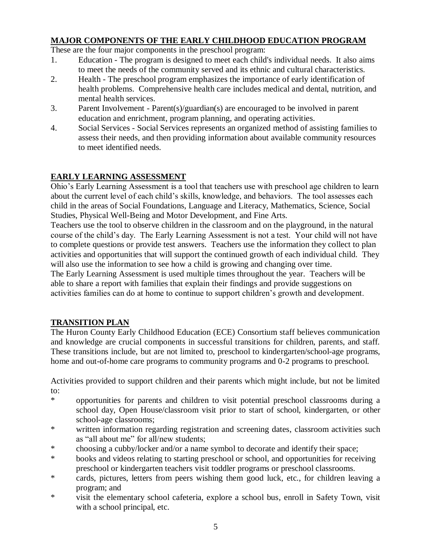# **MAJOR COMPONENTS OF THE EARLY CHILDHOOD EDUCATION PROGRAM**

These are the four major components in the preschool program:

- 1. Education The program is designed to meet each child's individual needs. It also aims to meet the needs of the community served and its ethnic and cultural characteristics.
- 2. Health The preschool program emphasizes the importance of early identification of health problems. Comprehensive health care includes medical and dental, nutrition, and mental health services.
- 3. Parent Involvement Parent(s)/guardian(s) are encouraged to be involved in parent education and enrichment, program planning, and operating activities.
- 4. Social Services Social Services represents an organized method of assisting families to assess their needs, and then providing information about available community resources to meet identified needs.

# **EARLY LEARNING ASSESSMENT**

Ohio's Early Learning Assessment is a tool that teachers use with preschool age children to learn about the current level of each child's skills, knowledge, and behaviors. The tool assesses each child in the areas of Social Foundations, Language and Literacy, Mathematics, Science, Social Studies, Physical Well-Being and Motor Development, and Fine Arts.

Teachers use the tool to observe children in the classroom and on the playground, in the natural course of the child's day. The Early Learning Assessment is not a test. Your child will not have to complete questions or provide test answers. Teachers use the information they collect to plan activities and opportunities that will support the continued growth of each individual child. They will also use the information to see how a child is growing and changing over time.

The Early Learning Assessment is used multiple times throughout the year. Teachers will be able to share a report with families that explain their findings and provide suggestions on activities families can do at home to continue to support children's growth and development.

#### **TRANSITION PLAN**

The Huron County Early Childhood Education (ECE) Consortium staff believes communication and knowledge are crucial components in successful transitions for children, parents, and staff. These transitions include, but are not limited to, preschool to kindergarten/school-age programs, home and out-of-home care programs to community programs and 0-2 programs to preschool.

Activities provided to support children and their parents which might include, but not be limited to:

- \* opportunities for parents and children to visit potential preschool classrooms during a school day, Open House/classroom visit prior to start of school, kindergarten, or other school-age classrooms;
- \* written information regarding registration and screening dates, classroom activities such as "all about me" for all/new students;
- \* choosing a cubby/locker and/or a name symbol to decorate and identify their space;
- \* books and videos relating to starting preschool or school, and opportunities for receiving preschool or kindergarten teachers visit toddler programs or preschool classrooms.
- \* cards, pictures, letters from peers wishing them good luck, etc., for children leaving a program; and
- \* visit the elementary school cafeteria, explore a school bus, enroll in Safety Town, visit with a school principal, etc.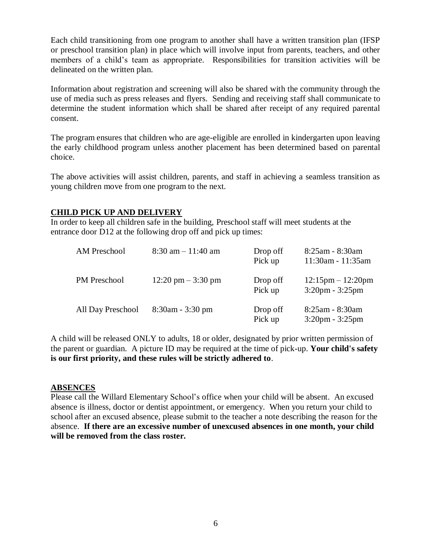Each child transitioning from one program to another shall have a written transition plan (IFSP or preschool transition plan) in place which will involve input from parents, teachers, and other members of a child's team as appropriate. Responsibilities for transition activities will be delineated on the written plan.

Information about registration and screening will also be shared with the community through the use of media such as press releases and flyers. Sending and receiving staff shall communicate to determine the student information which shall be shared after receipt of any required parental consent.

The program ensures that children who are age-eligible are enrolled in kindergarten upon leaving the early childhood program unless another placement has been determined based on parental choice.

The above activities will assist children, parents, and staff in achieving a seamless transition as young children move from one program to the next.

#### **CHILD PICK UP AND DELIVERY**

In order to keep all children safe in the building, Preschool staff will meet students at the entrance door D12 at the following drop off and pick up times:

| <b>AM Preschool</b> | $8:30$ am $-11:40$ am                | Drop off<br>Pick up | 8:25am - 8:30am<br>11:30am - 11:35am             |
|---------------------|--------------------------------------|---------------------|--------------------------------------------------|
| <b>PM</b> Preschool | $12:20 \text{ pm} - 3:30 \text{ pm}$ | Drop off<br>Pick up | $12:15$ pm $- 12:20$ pm<br>$3:20$ pm - $3:25$ pm |
| All Day Preschool   | $8:30$ am - $3:30$ pm                | Drop off<br>Pick up | 8:25am - 8:30am<br>$3:20$ pm - $3:25$ pm         |

A child will be released ONLY to adults, 18 or older, designated by prior written permission of the parent or guardian. A picture ID may be required at the time of pick-up. **Your child's safety is our first priority, and these rules will be strictly adhered to**.

#### **ABSENCES**

Please call the Willard Elementary School's office when your child will be absent. An excused absence is illness, doctor or dentist appointment, or emergency. When you return your child to school after an excused absence, please submit to the teacher a note describing the reason for the absence. **If there are an excessive number of unexcused absences in one month, your child will be removed from the class roster.**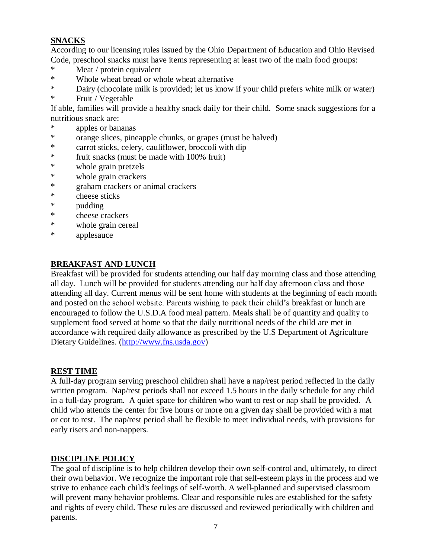# **SNACKS**

According to our licensing rules issued by the Ohio Department of Education and Ohio Revised Code, preschool snacks must have items representing at least two of the main food groups:

- \* Meat / protein equivalent<br>\* Whole wheat bread or wh
- Whole wheat bread or whole wheat alternative
- \* Dairy (chocolate milk is provided; let us know if your child prefers white milk or water)
- \* Fruit / Vegetable

If able, families will provide a healthy snack daily for their child. Some snack suggestions for a nutritious snack are:

- apples or bananas
- \* orange slices, pineapple chunks, or grapes (must be halved)
- \* carrot sticks, celery, cauliflower, broccoli with dip
- \* fruit snacks (must be made with 100% fruit)
- \* whole grain pretzels<br>\* whole grain crackers
- whole grain crackers
- \* graham crackers or animal crackers
- \* cheese sticks
- \* pudding
- \* cheese crackers
- \* whole grain cereal
- \* applesauce

## **BREAKFAST AND LUNCH**

Breakfast will be provided for students attending our half day morning class and those attending all day. Lunch will be provided for students attending our half day afternoon class and those attending all day. Current menus will be sent home with students at the beginning of each month and posted on the school website. Parents wishing to pack their child's breakfast or lunch are encouraged to follow the U.S.D.A food meal pattern. Meals shall be of quantity and quality to supplement food served at home so that the daily nutritional needs of the child are met in accordance with required daily allowance as prescribed by the U.S Department of Agriculture Dietary Guidelines. [\(http://www.fns.usda.gov\)](http://www.fns.usda.gov/)

#### **REST TIME**

A full-day program serving preschool children shall have a nap/rest period reflected in the daily written program. Nap/rest periods shall not exceed 1.5 hours in the daily schedule for any child in a full-day program. A quiet space for children who want to rest or nap shall be provided. A child who attends the center for five hours or more on a given day shall be provided with a mat or cot to rest. The nap/rest period shall be flexible to meet individual needs, with provisions for early risers and non-nappers.

#### **DISCIPLINE POLICY**

The goal of discipline is to help children develop their own self-control and, ultimately, to direct their own behavior. We recognize the important role that self-esteem plays in the process and we strive to enhance each child's feelings of self-worth. A well-planned and supervised classroom will prevent many behavior problems. Clear and responsible rules are established for the safety and rights of every child. These rules are discussed and reviewed periodically with children and parents.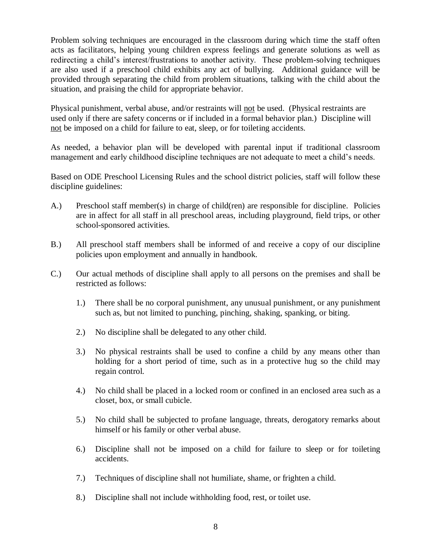Problem solving techniques are encouraged in the classroom during which time the staff often acts as facilitators, helping young children express feelings and generate solutions as well as redirecting a child's interest/frustrations to another activity. These problem-solving techniques are also used if a preschool child exhibits any act of bullying. Additional guidance will be provided through separating the child from problem situations, talking with the child about the situation, and praising the child for appropriate behavior.

Physical punishment, verbal abuse, and/or restraints will not be used. (Physical restraints are used only if there are safety concerns or if included in a formal behavior plan.) Discipline will not be imposed on a child for failure to eat, sleep, or for toileting accidents.

As needed, a behavior plan will be developed with parental input if traditional classroom management and early childhood discipline techniques are not adequate to meet a child's needs.

Based on ODE Preschool Licensing Rules and the school district policies, staff will follow these discipline guidelines:

- A.) Preschool staff member(s) in charge of child(ren) are responsible for discipline. Policies are in affect for all staff in all preschool areas, including playground, field trips, or other school-sponsored activities.
- B.) All preschool staff members shall be informed of and receive a copy of our discipline policies upon employment and annually in handbook.
- C.) Our actual methods of discipline shall apply to all persons on the premises and shall be restricted as follows:
	- 1.) There shall be no corporal punishment, any unusual punishment, or any punishment such as, but not limited to punching, pinching, shaking, spanking, or biting.
	- 2.) No discipline shall be delegated to any other child.
	- 3.) No physical restraints shall be used to confine a child by any means other than holding for a short period of time, such as in a protective hug so the child may regain control.
	- 4.) No child shall be placed in a locked room or confined in an enclosed area such as a closet, box, or small cubicle.
	- 5.) No child shall be subjected to profane language, threats, derogatory remarks about himself or his family or other verbal abuse.
	- 6.) Discipline shall not be imposed on a child for failure to sleep or for toileting accidents.
	- 7.) Techniques of discipline shall not humiliate, shame, or frighten a child.
	- 8.) Discipline shall not include withholding food, rest, or toilet use.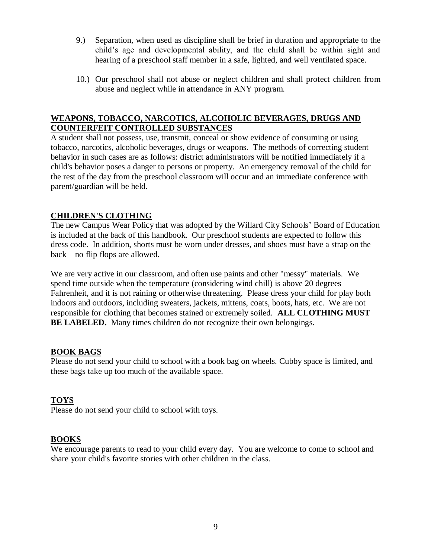- 9.) Separation, when used as discipline shall be brief in duration and appropriate to the child's age and developmental ability, and the child shall be within sight and hearing of a preschool staff member in a safe, lighted, and well ventilated space.
- 10.) Our preschool shall not abuse or neglect children and shall protect children from abuse and neglect while in attendance in ANY program.

#### **WEAPONS, TOBACCO, NARCOTICS, ALCOHOLIC BEVERAGES, DRUGS AND COUNTERFEIT CONTROLLED SUBSTANCES**

A student shall not possess, use, transmit, conceal or show evidence of consuming or using tobacco, narcotics, alcoholic beverages, drugs or weapons. The methods of correcting student behavior in such cases are as follows: district administrators will be notified immediately if a child's behavior poses a danger to persons or property. An emergency removal of the child for the rest of the day from the preschool classroom will occur and an immediate conference with parent/guardian will be held.

#### **CHILDREN'S CLOTHING**

The new Campus Wear Policy that was adopted by the Willard City Schools' Board of Education is included at the back of this handbook. Our preschool students are expected to follow this dress code. In addition, shorts must be worn under dresses, and shoes must have a strap on the back – no flip flops are allowed.

We are very active in our classroom, and often use paints and other "messy" materials. We spend time outside when the temperature (considering wind chill) is above 20 degrees Fahrenheit, and it is not raining or otherwise threatening. Please dress your child for play both indoors and outdoors, including sweaters, jackets, mittens, coats, boots, hats, etc. We are not responsible for clothing that becomes stained or extremely soiled. **ALL CLOTHING MUST BE LABELED.** Many times children do not recognize their own belongings.

#### **BOOK BAGS**

Please do not send your child to school with a book bag on wheels. Cubby space is limited, and these bags take up too much of the available space.

#### **TOYS**

Please do not send your child to school with toys.

#### **BOOKS**

We encourage parents to read to your child every day. You are welcome to come to school and share your child's favorite stories with other children in the class.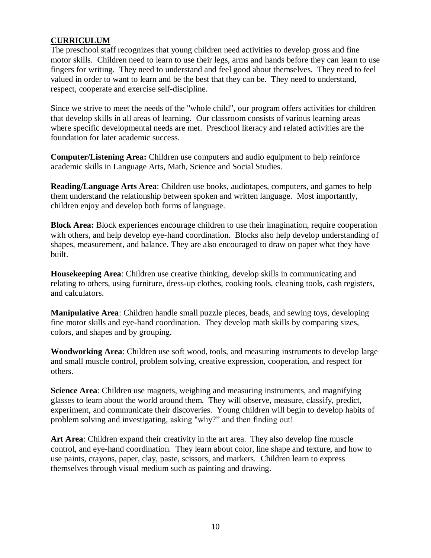#### **CURRICULUM**

The preschool staff recognizes that young children need activities to develop gross and fine motor skills. Children need to learn to use their legs, arms and hands before they can learn to use fingers for writing. They need to understand and feel good about themselves. They need to feel valued in order to want to learn and be the best that they can be. They need to understand, respect, cooperate and exercise self-discipline.

Since we strive to meet the needs of the "whole child", our program offers activities for children that develop skills in all areas of learning. Our classroom consists of various learning areas where specific developmental needs are met. Preschool literacy and related activities are the foundation for later academic success.

**Computer/Listening Area:** Children use computers and audio equipment to help reinforce academic skills in Language Arts, Math, Science and Social Studies.

**Reading/Language Arts Area**: Children use books, audiotapes, computers, and games to help them understand the relationship between spoken and written language. Most importantly, children enjoy and develop both forms of language.

**Block Area:** Block experiences encourage children to use their imagination, require cooperation with others, and help develop eye-hand coordination. Blocks also help develop understanding of shapes, measurement, and balance. They are also encouraged to draw on paper what they have built.

**Housekeeping Area**: Children use creative thinking, develop skills in communicating and relating to others, using furniture, dress-up clothes, cooking tools, cleaning tools, cash registers, and calculators.

**Manipulative Area**: Children handle small puzzle pieces, beads, and sewing toys, developing fine motor skills and eye-hand coordination. They develop math skills by comparing sizes, colors, and shapes and by grouping.

**Woodworking Area**: Children use soft wood, tools, and measuring instruments to develop large and small muscle control, problem solving, creative expression, cooperation, and respect for others.

**Science Area**: Children use magnets, weighing and measuring instruments, and magnifying glasses to learn about the world around them. They will observe, measure, classify, predict, experiment, and communicate their discoveries. Young children will begin to develop habits of problem solving and investigating, asking "why?" and then finding out!

**Art Area**: Children expand their creativity in the art area. They also develop fine muscle control, and eye-hand coordination. They learn about color, line shape and texture, and how to use paints, crayons, paper, clay, paste, scissors, and markers. Children learn to express themselves through visual medium such as painting and drawing.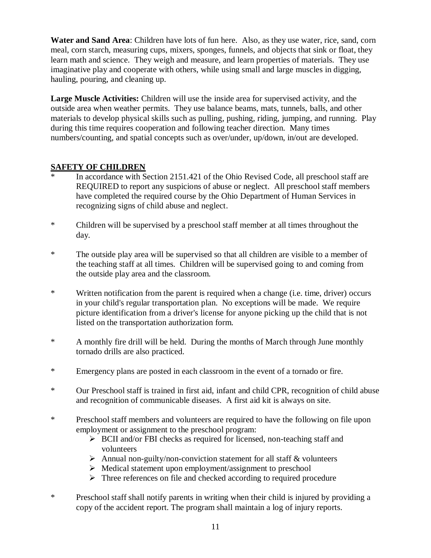**Water and Sand Area**: Children have lots of fun here. Also, as they use water, rice, sand, corn meal, corn starch, measuring cups, mixers, sponges, funnels, and objects that sink or float, they learn math and science. They weigh and measure, and learn properties of materials. They use imaginative play and cooperate with others, while using small and large muscles in digging, hauling, pouring, and cleaning up.

**Large Muscle Activities:** Children will use the inside area for supervised activity, and the outside area when weather permits. They use balance beams, mats, tunnels, balls, and other materials to develop physical skills such as pulling, pushing, riding, jumping, and running. Play during this time requires cooperation and following teacher direction. Many times numbers/counting, and spatial concepts such as over/under, up/down, in/out are developed.

# **SAFETY OF CHILDREN**

- In accordance with Section 2151.421 of the Ohio Revised Code, all preschool staff are REQUIRED to report any suspicions of abuse or neglect. All preschool staff members have completed the required course by the Ohio Department of Human Services in recognizing signs of child abuse and neglect.
- \* Children will be supervised by a preschool staff member at all times throughout the day.
- \* The outside play area will be supervised so that all children are visible to a member of the teaching staff at all times. Children will be supervised going to and coming from the outside play area and the classroom.
- \* Written notification from the parent is required when a change (i.e. time, driver) occurs in your child's regular transportation plan. No exceptions will be made. We require picture identification from a driver's license for anyone picking up the child that is not listed on the transportation authorization form.
- \* A monthly fire drill will be held. During the months of March through June monthly tornado drills are also practiced.
- \* Emergency plans are posted in each classroom in the event of a tornado or fire.
- \* Our Preschool staff is trained in first aid, infant and child CPR, recognition of child abuse and recognition of communicable diseases. A first aid kit is always on site.
- \* Preschool staff members and volunteers are required to have the following on file upon employment or assignment to the preschool program:
	- $\triangleright$  BCII and/or FBI checks as required for licensed, non-teaching staff and volunteers
	- $\triangleright$  Annual non-guilty/non-conviction statement for all staff & volunteers
	- $\triangleright$  Medical statement upon employment/assignment to preschool
	- $\triangleright$  Three references on file and checked according to required procedure
- \* Preschool staff shall notify parents in writing when their child is injured by providing a copy of the accident report. The program shall maintain a log of injury reports.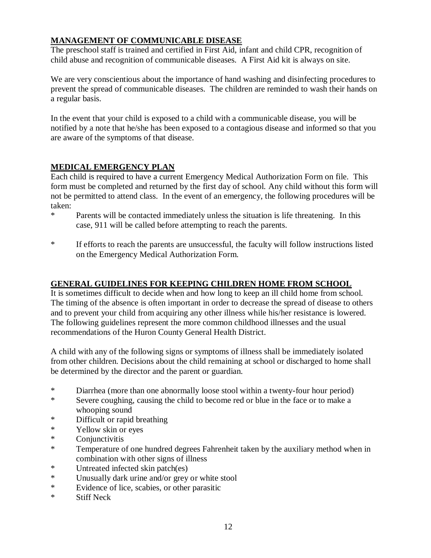# **MANAGEMENT OF COMMUNICABLE DISEASE**

The preschool staff is trained and certified in First Aid, infant and child CPR, recognition of child abuse and recognition of communicable diseases. A First Aid kit is always on site.

We are very conscientious about the importance of hand washing and disinfecting procedures to prevent the spread of communicable diseases. The children are reminded to wash their hands on a regular basis.

In the event that your child is exposed to a child with a communicable disease, you will be notified by a note that he/she has been exposed to a contagious disease and informed so that you are aware of the symptoms of that disease.

#### **MEDICAL EMERGENCY PLAN**

Each child is required to have a current Emergency Medical Authorization Form on file. This form must be completed and returned by the first day of school. Any child without this form will not be permitted to attend class. In the event of an emergency, the following procedures will be taken:

- \* Parents will be contacted immediately unless the situation is life threatening. In this case, 911 will be called before attempting to reach the parents.
- \* If efforts to reach the parents are unsuccessful, the faculty will follow instructions listed on the Emergency Medical Authorization Form.

#### **GENERAL GUIDELINES FOR KEEPING CHILDREN HOME FROM SCHOOL**

It is sometimes difficult to decide when and how long to keep an ill child home from school. The timing of the absence is often important in order to decrease the spread of disease to others and to prevent your child from acquiring any other illness while his/her resistance is lowered. The following guidelines represent the more common childhood illnesses and the usual recommendations of the Huron County General Health District.

A child with any of the following signs or symptoms of illness shall be immediately isolated from other children. Decisions about the child remaining at school or discharged to home shall be determined by the director and the parent or guardian.

- \* Diarrhea (more than one abnormally loose stool within a twenty-four hour period)
- \* Severe coughing, causing the child to become red or blue in the face or to make a whooping sound
- \* Difficult or rapid breathing
- \* Yellow skin or eyes
- Conjunctivitis
- \* Temperature of one hundred degrees Fahrenheit taken by the auxiliary method when in combination with other signs of illness
- \* Untreated infected skin patch(es)
- \* Unusually dark urine and/or grey or white stool
- \* Evidence of lice, scabies, or other parasitic
- \* Stiff Neck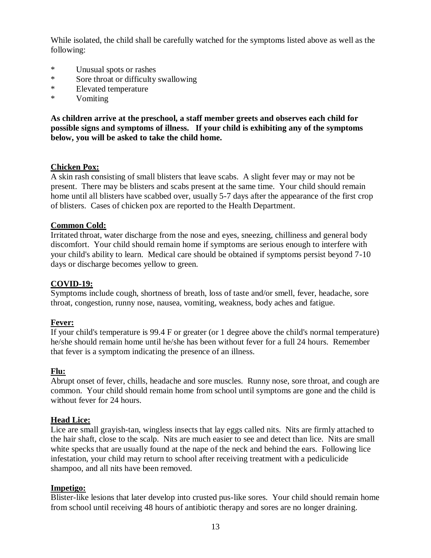While isolated, the child shall be carefully watched for the symptoms listed above as well as the following:

- \* Unusual spots or rashes
- \* Sore throat or difficulty swallowing
- \* Elevated temperature
- \* Vomiting

**As children arrive at the preschool, a staff member greets and observes each child for possible signs and symptoms of illness. If your child is exhibiting any of the symptoms below, you will be asked to take the child home.**

#### **Chicken Pox:**

A skin rash consisting of small blisters that leave scabs. A slight fever may or may not be present. There may be blisters and scabs present at the same time. Your child should remain home until all blisters have scabbed over, usually 5-7 days after the appearance of the first crop of blisters. Cases of chicken pox are reported to the Health Department.

#### **Common Cold:**

Irritated throat, water discharge from the nose and eyes, sneezing, chilliness and general body discomfort. Your child should remain home if symptoms are serious enough to interfere with your child's ability to learn. Medical care should be obtained if symptoms persist beyond 7-10 days or discharge becomes yellow to green.

#### **COVID-19:**

Symptoms include cough, shortness of breath, loss of taste and/or smell, fever, headache, sore throat, congestion, runny nose, nausea, vomiting, weakness, body aches and fatigue.

#### **Fever:**

If your child's temperature is 99.4 F or greater (or 1 degree above the child's normal temperature) he/she should remain home until he/she has been without fever for a full 24 hours. Remember that fever is a symptom indicating the presence of an illness.

#### **Flu:**

Abrupt onset of fever, chills, headache and sore muscles. Runny nose, sore throat, and cough are common. Your child should remain home from school until symptoms are gone and the child is without fever for 24 hours.

#### **Head Lice:**

Lice are small grayish-tan, wingless insects that lay eggs called nits. Nits are firmly attached to the hair shaft, close to the scalp. Nits are much easier to see and detect than lice. Nits are small white specks that are usually found at the nape of the neck and behind the ears. Following lice infestation, your child may return to school after receiving treatment with a pediculicide shampoo, and all nits have been removed.

#### **Impetigo:**

Blister-like lesions that later develop into crusted pus-like sores. Your child should remain home from school until receiving 48 hours of antibiotic therapy and sores are no longer draining.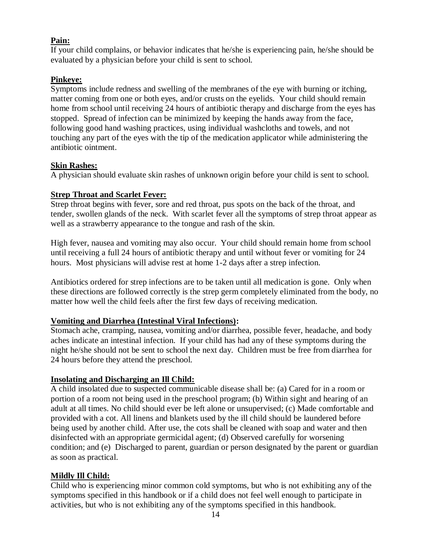#### **Pain:**

If your child complains, or behavior indicates that he/she is experiencing pain, he/she should be evaluated by a physician before your child is sent to school.

#### **Pinkeye:**

Symptoms include redness and swelling of the membranes of the eye with burning or itching, matter coming from one or both eyes, and/or crusts on the eyelids. Your child should remain home from school until receiving 24 hours of antibiotic therapy and discharge from the eyes has stopped. Spread of infection can be minimized by keeping the hands away from the face, following good hand washing practices, using individual washcloths and towels, and not touching any part of the eyes with the tip of the medication applicator while administering the antibiotic ointment.

#### **Skin Rashes:**

A physician should evaluate skin rashes of unknown origin before your child is sent to school.

#### **Strep Throat and Scarlet Fever:**

Strep throat begins with fever, sore and red throat, pus spots on the back of the throat, and tender, swollen glands of the neck. With scarlet fever all the symptoms of strep throat appear as well as a strawberry appearance to the tongue and rash of the skin.

High fever, nausea and vomiting may also occur. Your child should remain home from school until receiving a full 24 hours of antibiotic therapy and until without fever or vomiting for 24 hours. Most physicians will advise rest at home 1-2 days after a strep infection.

Antibiotics ordered for strep infections are to be taken until all medication is gone. Only when these directions are followed correctly is the strep germ completely eliminated from the body, no matter how well the child feels after the first few days of receiving medication.

#### **Vomiting and Diarrhea (Intestinal Viral Infections):**

Stomach ache, cramping, nausea, vomiting and/or diarrhea, possible fever, headache, and body aches indicate an intestinal infection. If your child has had any of these symptoms during the night he/she should not be sent to school the next day. Children must be free from diarrhea for 24 hours before they attend the preschool.

#### **Insolating and Discharging an Ill Child:**

A child insolated due to suspected communicable disease shall be: (a) Cared for in a room or portion of a room not being used in the preschool program; (b) Within sight and hearing of an adult at all times. No child should ever be left alone or unsupervised; (c) Made comfortable and provided with a cot. All linens and blankets used by the ill child should be laundered before being used by another child. After use, the cots shall be cleaned with soap and water and then disinfected with an appropriate germicidal agent; (d) Observed carefully for worsening condition; and (e) Discharged to parent, guardian or person designated by the parent or guardian as soon as practical.

#### **Mildly Ill Child:**

Child who is experiencing minor common cold symptoms, but who is not exhibiting any of the symptoms specified in this handbook or if a child does not feel well enough to participate in activities, but who is not exhibiting any of the symptoms specified in this handbook.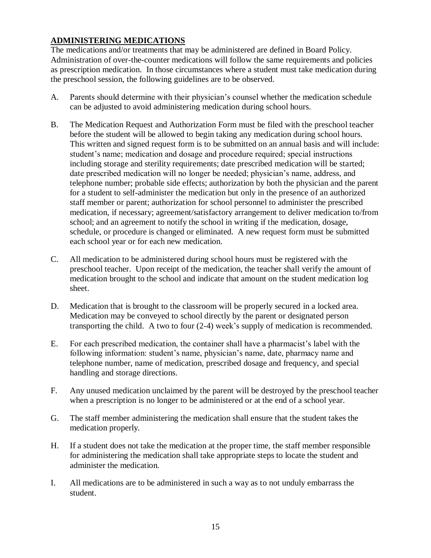# **ADMINISTERING MEDICATIONS**

The medications and/or treatments that may be administered are defined in Board Policy. Administration of over-the-counter medications will follow the same requirements and policies as prescription medication. In those circumstances where a student must take medication during the preschool session, the following guidelines are to be observed.

- A. Parents should determine with their physician's counsel whether the medication schedule can be adjusted to avoid administering medication during school hours.
- B. The Medication Request and Authorization Form must be filed with the preschool teacher before the student will be allowed to begin taking any medication during school hours. This written and signed request form is to be submitted on an annual basis and will include: student's name; medication and dosage and procedure required; special instructions including storage and sterility requirements; date prescribed medication will be started; date prescribed medication will no longer be needed; physician's name, address, and telephone number; probable side effects; authorization by both the physician and the parent for a student to self-administer the medication but only in the presence of an authorized staff member or parent; authorization for school personnel to administer the prescribed medication, if necessary; agreement/satisfactory arrangement to deliver medication to/from school; and an agreement to notify the school in writing if the medication, dosage, schedule, or procedure is changed or eliminated. A new request form must be submitted each school year or for each new medication.
- C. All medication to be administered during school hours must be registered with the preschool teacher. Upon receipt of the medication, the teacher shall verify the amount of medication brought to the school and indicate that amount on the student medication log sheet.
- D. Medication that is brought to the classroom will be properly secured in a locked area. Medication may be conveyed to school directly by the parent or designated person transporting the child. A two to four (2-4) week's supply of medication is recommended.
- E. For each prescribed medication, the container shall have a pharmacist's label with the following information: student's name, physician's name, date, pharmacy name and telephone number, name of medication, prescribed dosage and frequency, and special handling and storage directions.
- F. Any unused medication unclaimed by the parent will be destroyed by the preschool teacher when a prescription is no longer to be administered or at the end of a school year.
- G. The staff member administering the medication shall ensure that the student takes the medication properly.
- H. If a student does not take the medication at the proper time, the staff member responsible for administering the medication shall take appropriate steps to locate the student and administer the medication.
- I. All medications are to be administered in such a way as to not unduly embarrass the student.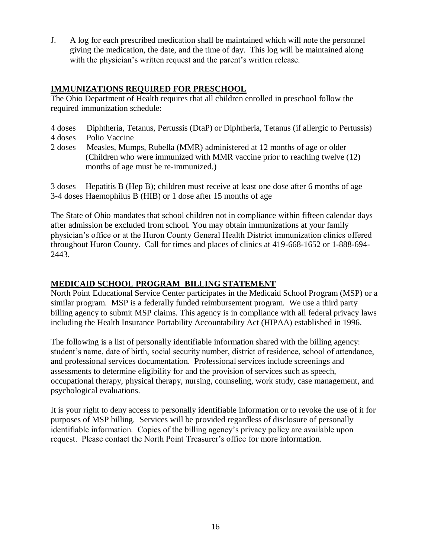J. A log for each prescribed medication shall be maintained which will note the personnel giving the medication, the date, and the time of day. This log will be maintained along with the physician's written request and the parent's written release.

## **IMMUNIZATIONS REQUIRED FOR PRESCHOOL**

The Ohio Department of Health requires that all children enrolled in preschool follow the required immunization schedule:

- 4 doses Diphtheria, Tetanus, Pertussis (DtaP) or Diphtheria, Tetanus (if allergic to Pertussis)
- 4 doses Polio Vaccine
- 2 doses Measles, Mumps, Rubella (MMR) administered at 12 months of age or older (Children who were immunized with MMR vaccine prior to reaching twelve (12) months of age must be re-immunized.)

3 doses Hepatitis B (Hep B); children must receive at least one dose after 6 months of age 3-4 doses Haemophilus B (HIB) or 1 dose after 15 months of age

The State of Ohio mandates that school children not in compliance within fifteen calendar days after admission be excluded from school. You may obtain immunizations at your family physician's office or at the Huron County General Health District immunization clinics offered throughout Huron County. Call for times and places of clinics at 419-668-1652 or 1-888-694- 2443.

#### **MEDICAID SCHOOL PROGRAM BILLING STATEMENT**

North Point Educational Service Center participates in the Medicaid School Program (MSP) or a similar program. MSP is a federally funded reimbursement program. We use a third party billing agency to submit MSP claims. This agency is in compliance with all federal privacy laws including the Health Insurance Portability Accountability Act (HIPAA) established in 1996.

The following is a list of personally identifiable information shared with the billing agency: student's name, date of birth, social security number, district of residence, school of attendance, and professional services documentation. Professional services include screenings and assessments to determine eligibility for and the provision of services such as speech, occupational therapy, physical therapy, nursing, counseling, work study, case management, and psychological evaluations.

It is your right to deny access to personally identifiable information or to revoke the use of it for purposes of MSP billing. Services will be provided regardless of disclosure of personally identifiable information. Copies of the billing agency's privacy policy are available upon request. Please contact the North Point Treasurer's office for more information.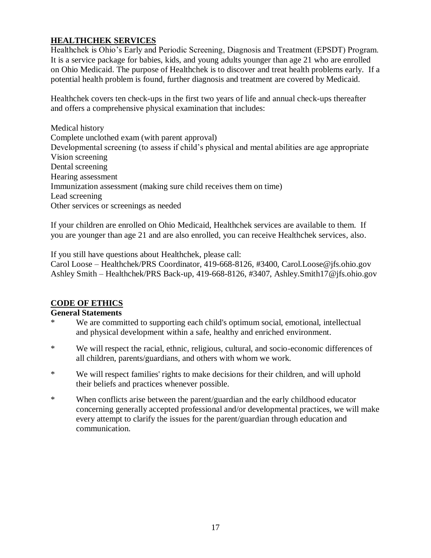# **HEALTHCHEK SERVICES**

Healthchek is Ohio's Early and Periodic Screening, Diagnosis and Treatment (EPSDT) Program. It is a service package for babies, kids, and young adults younger than age 21 who are enrolled on Ohio Medicaid. The purpose of Healthchek is to discover and treat health problems early. If a potential health problem is found, further diagnosis and treatment are covered by Medicaid.

Healthchek covers ten check-ups in the first two years of life and annual check-ups thereafter and offers a comprehensive physical examination that includes:

Medical history Complete unclothed exam (with parent approval) Developmental screening (to assess if child's physical and mental abilities are age appropriate Vision screening Dental screening Hearing assessment Immunization assessment (making sure child receives them on time) Lead screening Other services or screenings as needed

If your children are enrolled on Ohio Medicaid, Healthchek services are available to them. If you are younger than age 21 and are also enrolled, you can receive Healthchek services, also.

If you still have questions about Healthchek, please call:

Carol Loose – Healthchek/PRS Coordinator, 419-668-8126, #3400, Carol.Loose@jfs.ohio.gov Ashley Smith – Healthchek/PRS Back-up, 419-668-8126, #3407, Ashley.Smith17@jfs.ohio.gov

#### **CODE OF ETHICS**

#### **General Statements**

- \* We are committed to supporting each child's optimum social, emotional, intellectual and physical development within a safe, healthy and enriched environment.
- \* We will respect the racial, ethnic, religious, cultural, and socio-economic differences of all children, parents/guardians, and others with whom we work.
- \* We will respect families' rights to make decisions for their children, and will uphold their beliefs and practices whenever possible.
- \* When conflicts arise between the parent/guardian and the early childhood educator concerning generally accepted professional and/or developmental practices, we will make every attempt to clarify the issues for the parent/guardian through education and communication.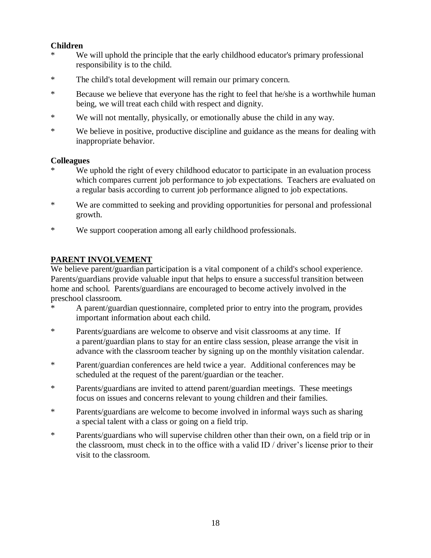#### **Children**

- \* We will uphold the principle that the early childhood educator's primary professional responsibility is to the child.
- \* The child's total development will remain our primary concern.
- \* Because we believe that everyone has the right to feel that he/she is a worthwhile human being, we will treat each child with respect and dignity.
- \* We will not mentally, physically, or emotionally abuse the child in any way.
- \* We believe in positive, productive discipline and guidance as the means for dealing with inappropriate behavior.

#### **Colleagues**

- We uphold the right of every childhood educator to participate in an evaluation process which compares current job performance to job expectations. Teachers are evaluated on a regular basis according to current job performance aligned to job expectations.
- \* We are committed to seeking and providing opportunities for personal and professional growth.
- \* We support cooperation among all early childhood professionals.

## **PARENT INVOLVEMENT**

We believe parent/guardian participation is a vital component of a child's school experience. Parents/guardians provide valuable input that helps to ensure a successful transition between home and school. Parents/guardians are encouraged to become actively involved in the preschool classroom.

- A parent/guardian questionnaire, completed prior to entry into the program, provides important information about each child.
- \* Parents/guardians are welcome to observe and visit classrooms at any time. If a parent/guardian plans to stay for an entire class session, please arrange the visit in advance with the classroom teacher by signing up on the monthly visitation calendar.
- \* Parent/guardian conferences are held twice a year. Additional conferences may be scheduled at the request of the parent/guardian or the teacher.
- \* Parents/guardians are invited to attend parent/guardian meetings. These meetings focus on issues and concerns relevant to young children and their families.
- \* Parents/guardians are welcome to become involved in informal ways such as sharing a special talent with a class or going on a field trip.
- \* Parents/guardians who will supervise children other than their own, on a field trip or in the classroom, must check in to the office with a valid ID / driver's license prior to their visit to the classroom.